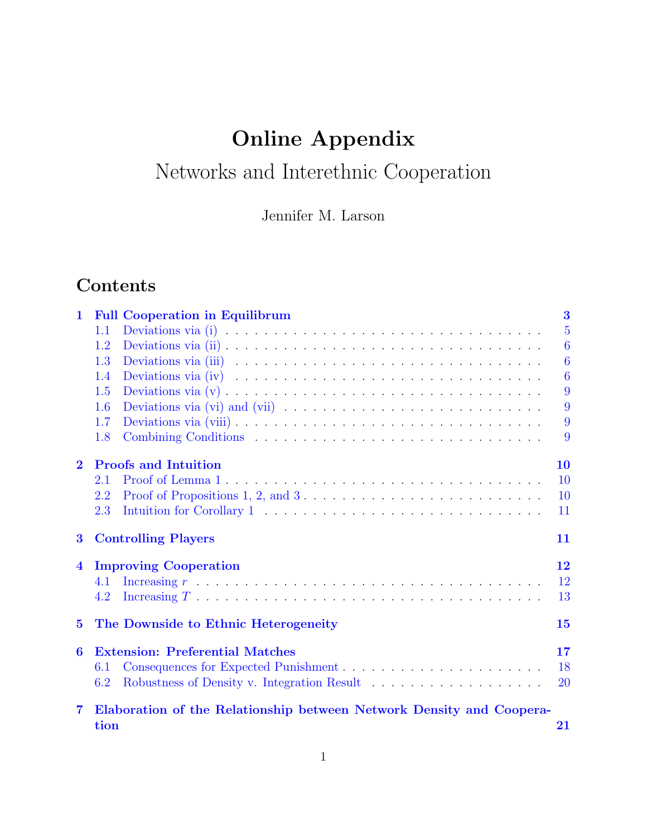# Online Appendix

# Networks and Interethnic Cooperation

Jennifer M. Larson

## Contents

| $\mathbf 1$             | <b>Full Cooperation in Equilibrum</b>                                                                     | 3              |
|-------------------------|-----------------------------------------------------------------------------------------------------------|----------------|
|                         | 1.1                                                                                                       | $\overline{5}$ |
|                         | 1.2                                                                                                       | $\overline{6}$ |
|                         | 1.3                                                                                                       | $\overline{6}$ |
|                         | 1.4                                                                                                       | 6              |
|                         | 1.5                                                                                                       | 9              |
|                         | 1.6                                                                                                       | 9              |
|                         | 1.7                                                                                                       | 9              |
|                         | 1.8                                                                                                       | 9              |
| $\bf{2}$                | <b>Proofs and Intuition</b>                                                                               | 10             |
|                         | 2.1                                                                                                       | 10             |
|                         | Proof of Propositions 1, 2, and $3 \ldots \ldots \ldots \ldots \ldots \ldots \ldots \ldots$<br>2.2        | 10             |
|                         | 2.3                                                                                                       | 11             |
| $\bf{3}$                | <b>Controlling Players</b>                                                                                | 11             |
| $\overline{\mathbf{4}}$ | <b>Improving Cooperation</b>                                                                              | 12             |
|                         | Increasing $r \ldots \ldots \ldots \ldots \ldots \ldots \ldots \ldots \ldots \ldots \ldots \ldots$<br>4.1 | 12             |
|                         | 4.2                                                                                                       | 13             |
| $\bf{5}$                | The Downside to Ethnic Heterogeneity                                                                      | 15             |
| 6                       | <b>Extension: Preferential Matches</b>                                                                    | 17             |
|                         | Consequences for Expected Punishment<br>6.1                                                               | 18             |
|                         | 6.2                                                                                                       | <b>20</b>      |
| $\overline{7}$          | Elaboration of the Relationship between Network Density and Coopera-                                      |                |
|                         | tion                                                                                                      | 21             |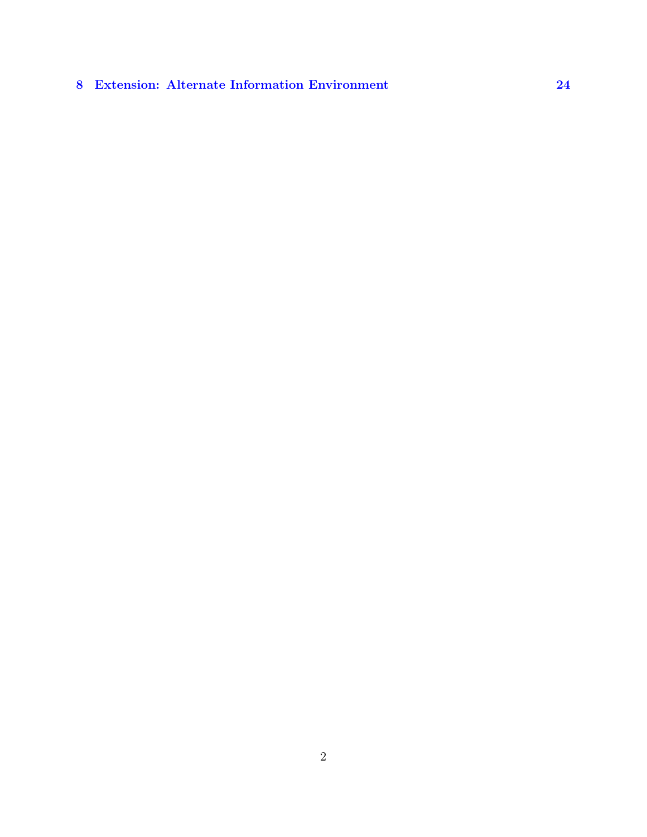## [8 Extension: Alternate Information Environment](#page-23-0) [24](#page-23-0)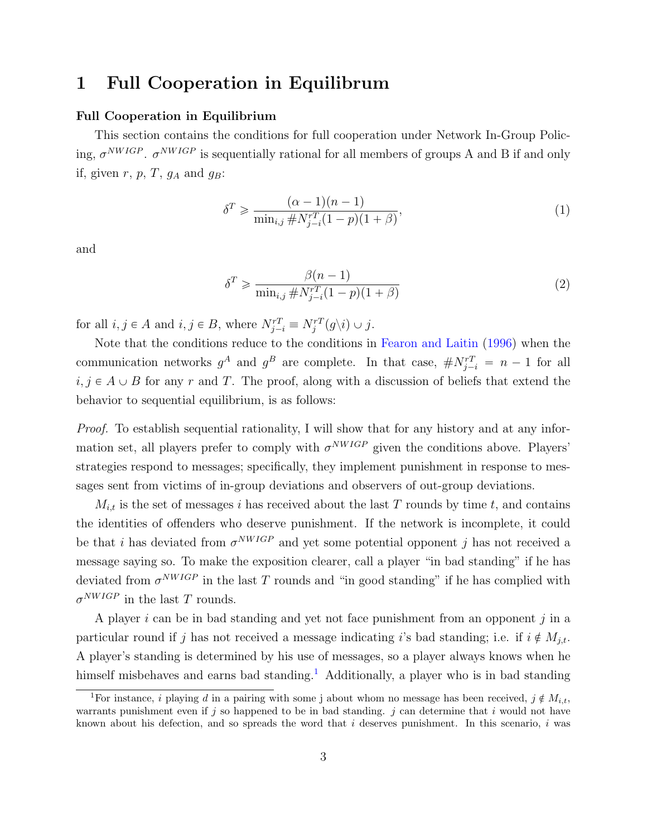## <span id="page-2-0"></span>1 Full Cooperation in Equilibrum

#### Full Cooperation in Equilibrium

This section contains the conditions for full cooperation under Network In-Group Policing,  $\sigma^{NWIGP}$ .  $\sigma^{NWIGP}$  is sequentially rational for all members of groups A and B if and only if, given  $r, p, T, g_A$  and  $g_B$ :

$$
\delta^T \ge \frac{(\alpha - 1)(n - 1)}{\min_{i,j} \# N_{j-i}^{rT} (1 - p)(1 + \beta)},
$$
\n(1)

and

$$
\delta^T \geq \frac{\beta(n-1)}{\min_{i,j} \# N_{j-i}^{rT} (1-p)(1+\beta)}
$$
\n
$$
(2)
$$

for all  $i, j \in A$  and  $i, j \in B$ , where  $N_{j-i}^{rT} \equiv N_j^{rT}(g \setminus i) \cup j$ .

Note that the conditions reduce to the conditions in [Fearon and Laitin](#page-25-0) [\(1996\)](#page-25-0) when the communication networks  $g^A$  and  $g^B$  are complete. In that case,  $\# N^{rT}_{j-i} = n-1$  for all  $i, j \in A \cup B$  for any r and T. The proof, along with a discussion of beliefs that extend the behavior to sequential equilibrium, is as follows:

Proof. To establish sequential rationality, I will show that for any history and at any information set, all players prefer to comply with  $\sigma^{NWIGP}$  given the conditions above. Players' strategies respond to messages; specifically, they implement punishment in response to messages sent from victims of in-group deviations and observers of out-group deviations.

 $M_{i,t}$  is the set of messages i has received about the last T rounds by time t, and contains the identities of offenders who deserve punishment. If the network is incomplete, it could be that i has deviated from  $\sigma^{NWIGP}$  and yet some potential opponent j has not received a message saying so. To make the exposition clearer, call a player "in bad standing" if he has deviated from  $\sigma^{NWIGP}$  in the last T rounds and "in good standing" if he has complied with  $\sigma^{NWIGP}$  in the last T rounds.

A player  $i$  can be in bad standing and yet not face punishment from an opponent  $j$  in a particular round if j has not received a message indicating is bad standing; i.e. if  $i \notin M_{j,t}$ . A player's standing is determined by his use of messages, so a player always knows when he himself misbehaves and earns bad standing.<sup>[1](#page-2-1)</sup> Additionally, a player who is in bad standing

<span id="page-2-1"></span><sup>&</sup>lt;sup>1</sup>For instance, *i* playing *d* in a pairing with some j about whom no message has been received,  $j \notin M_{i,t}$ , warrants punishment even if j so happened to be in bad standing. j can determine that i would not have known about his defection, and so spreads the word that  $i$  deserves punishment. In this scenario,  $i$  was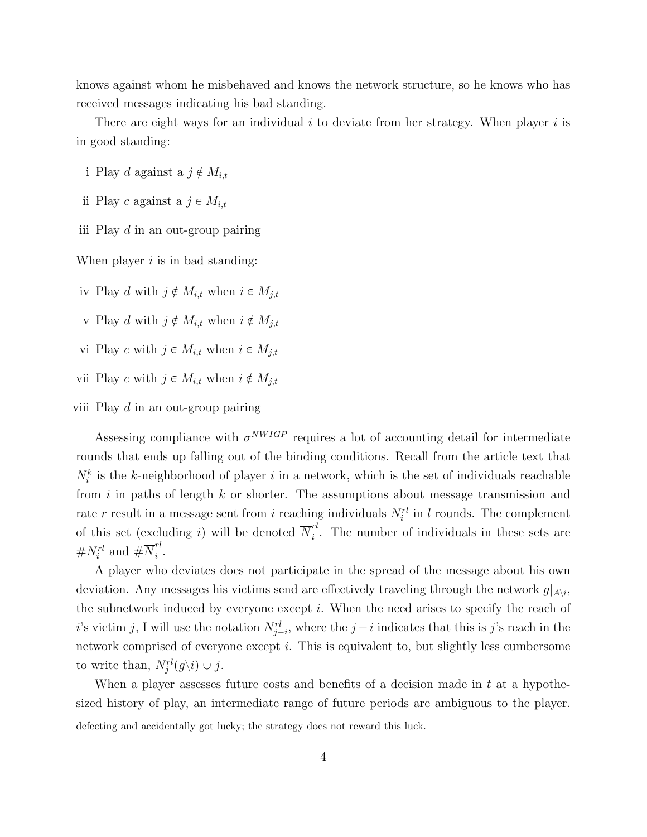knows against whom he misbehaved and knows the network structure, so he knows who has received messages indicating his bad standing.

There are eight ways for an individual  $i$  to deviate from her strategy. When player  $i$  is in good standing:

- i Play d against a  $j \notin M_{i,t}$
- ii Play c against a  $j \in M_{i,t}$
- iii Play d in an out-group pairing

When player  $i$  is in bad standing:

- iv Play d with  $j \notin M_{i,t}$  when  $i \in M_{j,t}$
- v Play d with  $j \notin M_{i,t}$  when  $i \notin M_{j,t}$
- vi Play c with  $j \in M_{i,t}$  when  $i \in M_{j,t}$
- vii Play c with  $j \in M_{i,t}$  when  $i \notin M_{j,t}$

viii Play  $d$  in an out-group pairing

Assessing compliance with  $\sigma^{NWIGP}$  requires a lot of accounting detail for intermediate rounds that ends up falling out of the binding conditions. Recall from the article text that  $N_i^k$  is the k-neighborhood of player i in a network, which is the set of individuals reachable from  $i$  in paths of length  $k$  or shorter. The assumptions about message transmission and rate r result in a message sent from i reaching individuals  $N_i^{rl}$  in l rounds. The complement of this set (excluding *i*) will be denoted  $\overline{N}_i^{rl}$  $i<sup>i</sup>$ . The number of individuals in these sets are  $\#N_i^{rl}$  and  $\# \overline{N}_i^{rl}$  $\frac{i}{i}$ .

A player who deviates does not participate in the spread of the message about his own deviation. Any messages his victims send are effectively traveling through the network  $g|_{A\setminus i}$ , the subnetwork induced by everyone except  $i$ . When the need arises to specify the reach of i's victim j, I will use the notation  $N_{j-i}^{rl}$ , where the j – i indicates that this is j's reach in the network comprised of everyone except i. This is equivalent to, but slightly less cumbersome to write than,  $N_j^{rl}(g\backslash i)\cup j$ .

When a player assesses future costs and benefits of a decision made in  $t$  at a hypothesized history of play, an intermediate range of future periods are ambiguous to the player.

defecting and accidentally got lucky; the strategy does not reward this luck.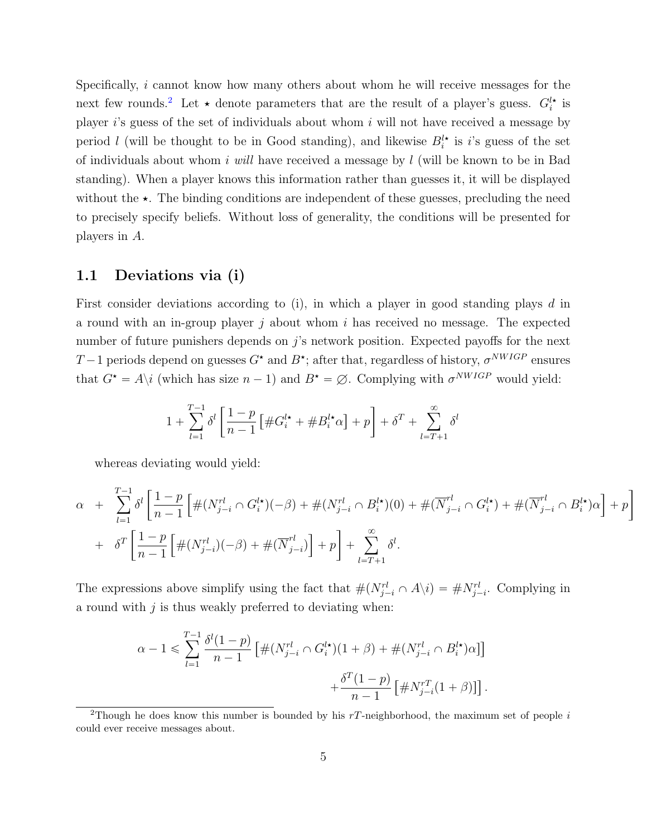Specifically, i cannot know how many others about whom he will receive messages for the next few rounds.<sup>[2](#page-4-1)</sup> Let  $\star$  denote parameters that are the result of a player's guess.  $G_i^{l\star}$  is player  $i$ 's guess of the set of individuals about whom  $i$  will not have received a message by period l (will be thought to be in Good standing), and likewise  $B_i^{\dagger\star}$  is i's guess of the set of individuals about whom i will have received a message by  $l$  (will be known to be in Bad standing). When a player knows this information rather than guesses it, it will be displayed without the  $\star$ . The binding conditions are independent of these guesses, precluding the need to precisely specify beliefs. Without loss of generality, the conditions will be presented for players in A.

#### <span id="page-4-0"></span>1.1 Deviations via (i)

First consider deviations according to  $(i)$ , in which a player in good standing plays d in a round with an in-group player j about whom i has received no message. The expected number of future punishers depends on j's network position. Expected payoffs for the next  $T-1$  periods depend on guesses  $G^{\star}$  and  $B^{\star}$ ; after that, regardless of history,  $\sigma^{NWIGP}$  ensures that  $G^* = A \setminus i$  (which has size  $n - 1$ ) and  $B^* = \emptyset$ . Complying with  $\sigma^{NWIGP}$  would yield:

$$
1 + \sum_{l=1}^{T-1} \delta^l \left[ \frac{1-p}{n-1} \left[ \#G_i^{l\star} + \#B_i^{l\star}\alpha \right] + p \right] + \delta^T + \sum_{l=T+1}^{\infty} \delta^l
$$

whereas deviating would yield:

$$
\alpha + \sum_{l=1}^{T-1} \delta^l \left[ \frac{1-p}{n-1} \left[ \#(N_{j-i}^{rl} \cap G_i^{l\star})(-\beta) + \#(N_{j-i}^{rl} \cap B_i^{l\star})(0) + \#(\overline{N}_{j-i}^{rl} \cap G_i^{l\star}) + \#(\overline{N}_{j-i}^{rl} \cap B_i^{l\star})\alpha \right] + \delta^T \left[ \frac{1-p}{n-1} \left[ \#(N_{j-i}^{rl})(-\beta) + \#(\overline{N}_{j-i}^{rl}) \right] + p \right] + \sum_{l=T+1}^{\infty} \delta^l.
$$

The expressions above simplify using the fact that  $\#(N_{j-i}^{rl} \cap A\backslash i) = \#N_{j-i}^{rl}$ . Complying in a round with  $j$  is thus weakly preferred to deviating when:

$$
\alpha - 1 \leq \sum_{l=1}^{T-1} \frac{\delta^l(1-p)}{n-1} \left[ \#(N_{j-i}^{rl} \cap G_i^{l\star})(1+\beta) + \#(N_{j-i}^{rl} \cap B_i^{l\star})\alpha \right] \right. \\ \left. + \frac{\delta^T(1-p)}{n-1} \left[ \#N_{j-i}^{rT}(1+\beta) \right] \right].
$$

<span id="page-4-1"></span><sup>&</sup>lt;sup>2</sup>Though he does know this number is bounded by his  $rT$ -neighborhood, the maximum set of people i could ever receive messages about.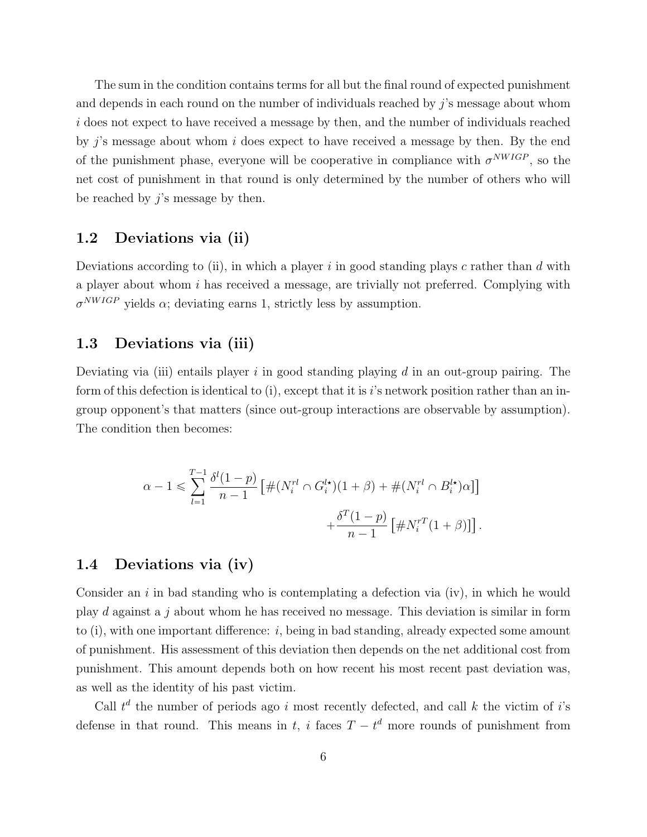The sum in the condition contains terms for all but the final round of expected punishment and depends in each round on the number of individuals reached by  $j$ 's message about whom i does not expect to have received a message by then, and the number of individuals reached by  $j$ 's message about whom  $i$  does expect to have received a message by then. By the end of the punishment phase, everyone will be cooperative in compliance with  $\sigma^{NWIGP}$ , so the net cost of punishment in that round is only determined by the number of others who will be reached by  $\hat{j}$ 's message by then.

#### <span id="page-5-0"></span>1.2 Deviations via (ii)

Deviations according to (ii), in which a player i in good standing plays c rather than d with a player about whom i has received a message, are trivially not preferred. Complying with  $\sigma^{NWIGP}$  yields  $\alpha$ ; deviating earns 1, strictly less by assumption.

#### <span id="page-5-1"></span>1.3 Deviations via (iii)

Deviating via (iii) entails player  $i$  in good standing playing  $d$  in an out-group pairing. The form of this defection is identical to (i), except that it is i's network position rather than an ingroup opponent's that matters (since out-group interactions are observable by assumption). The condition then becomes:

$$
\alpha - 1 \leq \sum_{l=1}^{T-1} \frac{\delta^l (1-p)}{n-1} \left[ \#(N_i^{rl} \cap G_i^{l\star})(1+\beta) + \#(N_i^{rl} \cap B_i^{l\star})\alpha \right] \right] + \frac{\delta^T (1-p)}{n-1} \left[ \#N_i^{rT} (1+\beta) \right].
$$

#### <span id="page-5-2"></span>1.4 Deviations via (iv)

Consider an  $i$  in bad standing who is contemplating a defection via (iv), in which he would play d against a j about whom he has received no message. This deviation is similar in form to  $(i)$ , with one important difference: i, being in bad standing, already expected some amount of punishment. His assessment of this deviation then depends on the net additional cost from punishment. This amount depends both on how recent his most recent past deviation was, as well as the identity of his past victim.

Call  $t^d$  the number of periods ago i most recently defected, and call k the victim of i's defense in that round. This means in t, i faces  $T - t<sup>d</sup>$  more rounds of punishment from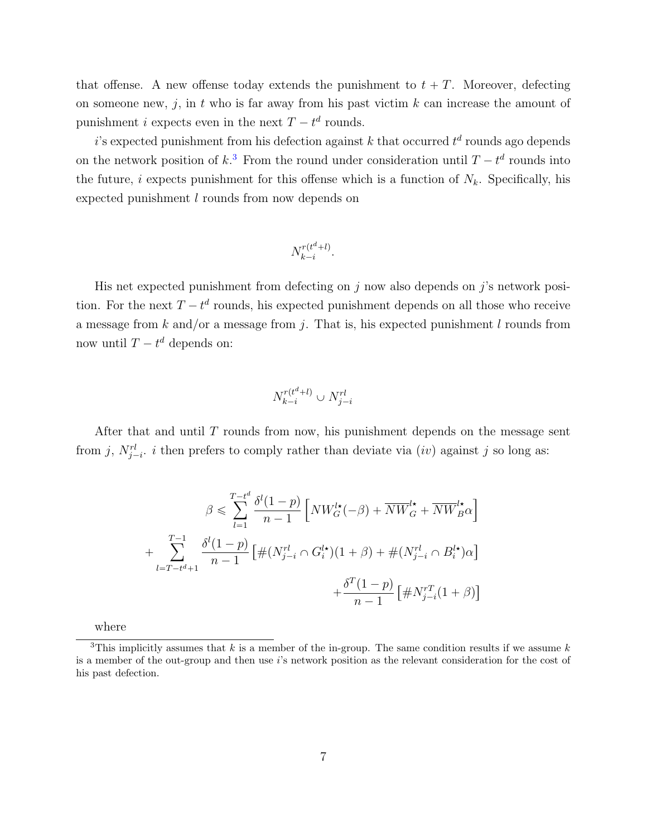that offense. A new offense today extends the punishment to  $t + T$ . Moreover, defecting on someone new, j, in t who is far away from his past victim  $k$  can increase the amount of punishment *i* expects even in the next  $T - t^d$  rounds.

 $i$ 's expected punishment from his defection against k that occurred  $t^d$  rounds ago depends on the network position of  $k<sup>3</sup>$  $k<sup>3</sup>$  $k<sup>3</sup>$ . From the round under consideration until  $T - t<sup>d</sup>$  rounds into the future, i expects punishment for this offense which is a function of  $N_k$ . Specifically, his expected punishment l rounds from now depends on

$$
N_{k-i}^{r(t^d+l)}.
$$

His net expected punishment from defecting on  $j$  now also depends on  $j$ 's network position. For the next  $T - t^d$  rounds, his expected punishment depends on all those who receive a message from k and/or a message from j. That is, his expected punishment l rounds from now until  $T - t^d$  depends on:

$$
N_{k-i}^{r(t^d+l)} \cup N_{j-i}^{rl}
$$

After that and until T rounds from now, his punishment depends on the message sent from j,  $N_{j-i}^{rl}$ , i then prefers to comply rather than deviate via  $(iv)$  against j so long as:

$$
\beta \leqslant \sum_{l=1}^{T-t^d} \frac{\delta^l(1-p)}{n-1} \left[ N W_G^{l\star}(-\beta) + \overline{N} \overline{W}_G^{l\star} + \overline{N} \overline{W}_B^{l\star} \alpha \right]
$$
  
+ 
$$
\sum_{l=T-t^d+1}^{T-1} \frac{\delta^l(1-p)}{n-1} \left[ \# (N_{j-i}^{r_l} \cap G_i^{l\star})(1+\beta) + \# (N_{j-i}^{r_l} \cap B_i^{l\star}) \alpha \right]
$$
  
+ 
$$
\frac{\delta^T(1-p)}{n-1} \left[ \# N_{j-i}^{rT}(1+\beta) \right]
$$

<span id="page-6-0"></span>where

<sup>&</sup>lt;sup>3</sup>This implicitly assumes that k is a member of the in-group. The same condition results if we assume k is a member of the out-group and then use i's network position as the relevant consideration for the cost of his past defection.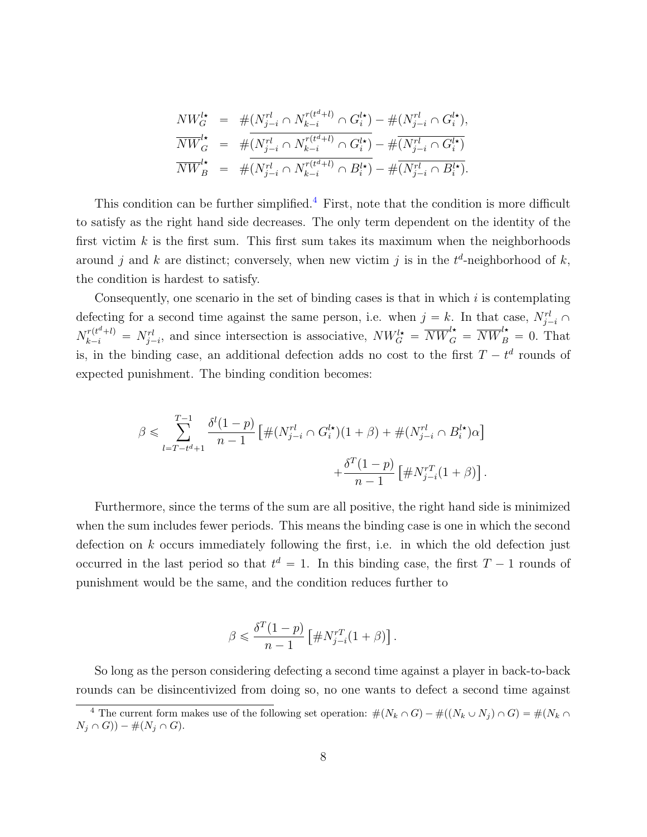$$
NW_G^{l\star} = #(N_{j-i}^{rl} \cap N_{k-i}^{r(t^{d}+l)} \cap G_i^{l\star}) - #(N_{j-i}^{rl} \cap G_i^{l\star}),
$$
  
\n
$$
\overline{NW}_G^{l\star} = #(\overline{N_{j-i}^{rl} \cap N_{k-i}^{r(t^{d}+l)} \cap G_i^{l\star})} - #(\overline{N_{j-i}^{rl} \cap G_i^{l\star})}
$$
  
\n
$$
\overline{NW}_B^{l\star} = #(\overline{N_{j-i}^{rl} \cap N_{k-i}^{r(t^{d}+l)} \cap B_i^{l\star})} - #(\overline{N_{j-i}^{rl} \cap B_i^{l\star})}.
$$

This condition can be further simplified.<sup>[4](#page-7-0)</sup> First, note that the condition is more difficult to satisfy as the right hand side decreases. The only term dependent on the identity of the first victim  $k$  is the first sum. This first sum takes its maximum when the neighborhoods around j and k are distinct; conversely, when new victim j is in the  $t^d$ -neighborhood of k, the condition is hardest to satisfy.

Consequently, one scenario in the set of binding cases is that in which  $i$  is contemplating defecting for a second time against the same person, i.e. when  $j = k$ . In that case,  $N_{j-i}^{rl} \cap$  $N_{k-i}^{r(t^d+l)} = N_{j-i}^{rl}$ , and since intersection is associative,  $NW_G^{l\star} = \overline{NW}_G^{l\star} = \overline{NW}_B^{l\star} = 0$ . That is, in the binding case, an additional defection adds no cost to the first  $T - t^d$  rounds of expected punishment. The binding condition becomes:

$$
\beta \leqslant \sum_{l=T-t^{d}+1}^{T-1} \frac{\delta^{l}(1-p)}{n-1} \left[ \#(N_{j-i}^{rl} \cap G_i^{l\star})(1+\beta) + \#(N_{j-i}^{rl} \cap B_i^{l\star})\alpha \right] + \frac{\delta^{T}(1-p)}{n-1} \left[ \#N_{j-i}^{rT}(1+\beta) \right].
$$

Furthermore, since the terms of the sum are all positive, the right hand side is minimized when the sum includes fewer periods. This means the binding case is one in which the second defection on k occurs immediately following the first, i.e. in which the old defection just occurred in the last period so that  $t^d = 1$ . In this binding case, the first  $T - 1$  rounds of punishment would be the same, and the condition reduces further to

$$
\beta \leq \frac{\delta^T (1-p)}{n-1} \left[ \# N_{j-i}^{rT} (1+\beta) \right].
$$

So long as the person considering defecting a second time against a player in back-to-back rounds can be disincentivized from doing so, no one wants to defect a second time against

<span id="page-7-0"></span><sup>&</sup>lt;sup>4</sup> The current form makes use of the following set operation:  $\#(N_k \cap G) - \#((N_k \cup N_j) \cap G) = \#(N_k \cap G)$  $N_j \cap G$ ) –  $\#(N_j \cap G)$ .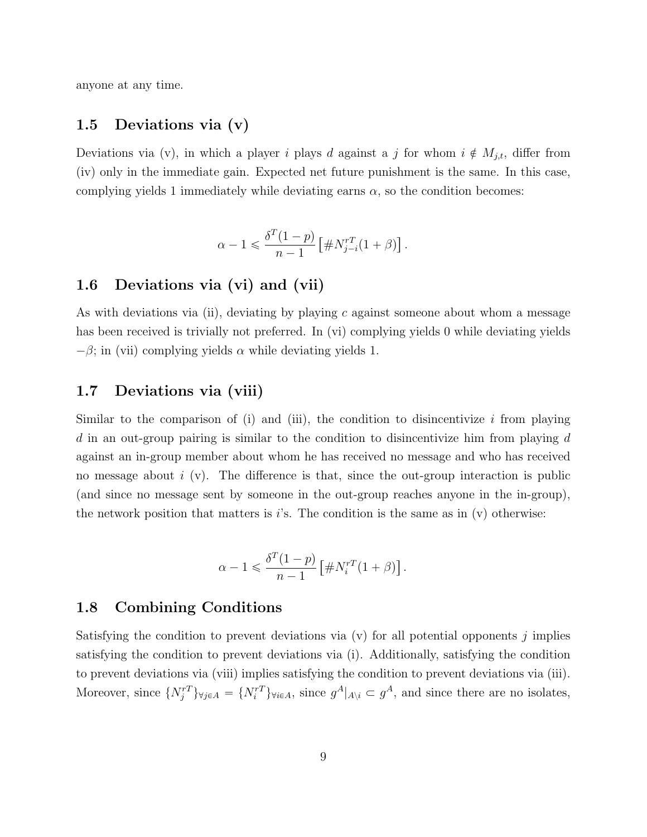anyone at any time.

#### <span id="page-8-0"></span>1.5 Deviations via (v)

Deviations via (v), in which a player i plays d against a j for whom  $i \notin M_{j,t}$ , differ from (iv) only in the immediate gain. Expected net future punishment is the same. In this case, complying yields 1 immediately while deviating earns  $\alpha$ , so the condition becomes:

$$
\alpha - 1 \leqslant \frac{\delta^T (1 - p)}{n - 1} \left[ \# N_{j-i}^{rT} (1 + \beta) \right].
$$

#### <span id="page-8-1"></span>1.6 Deviations via (vi) and (vii)

As with deviations via (ii), deviating by playing c against someone about whom a message has been received is trivially not preferred. In (vi) complying yields 0 while deviating yields  $-\beta$ ; in (vii) complying yields  $\alpha$  while deviating yields 1.

#### <span id="page-8-2"></span>1.7 Deviations via (viii)

Similar to the comparison of (i) and (iii), the condition to disincentivize  $i$  from playing  $d$  in an out-group pairing is similar to the condition to disincentivize him from playing  $d$ against an in-group member about whom he has received no message and who has received no message about  $i$  (v). The difference is that, since the out-group interaction is public (and since no message sent by someone in the out-group reaches anyone in the in-group), the network position that matters is  $i$ 's. The condition is the same as in (v) otherwise:

$$
\alpha - 1 \leq \frac{\delta^T (1 - p)}{n - 1} \left[ \# N_i^{rT} (1 + \beta) \right].
$$

#### <span id="page-8-3"></span>1.8 Combining Conditions

Satisfying the condition to prevent deviations via  $(v)$  for all potential opponents j implies satisfying the condition to prevent deviations via (i). Additionally, satisfying the condition to prevent deviations via (viii) implies satisfying the condition to prevent deviations via (iii). Moreover, since  $\{N_j^{rT}\}_{\forall j \in A} = \{N_i^{rT}\}_{\forall i \in A}$ , since  $g^A|_{A \setminus i} \subset g^A$ , and since there are no isolates,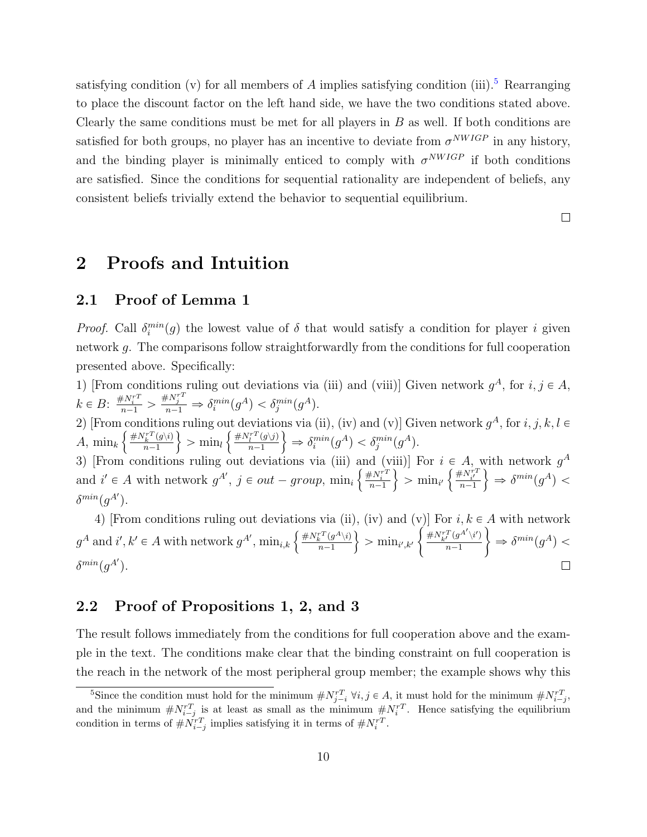satisfying condition (v) for all members of A implies satisfying condition (iii).<sup>[5](#page-9-3)</sup> Rearranging to place the discount factor on the left hand side, we have the two conditions stated above. Clearly the same conditions must be met for all players in  $B$  as well. If both conditions are satisfied for both groups, no player has an incentive to deviate from  $\sigma^{NWIGP}$  in any history, and the binding player is minimally enticed to comply with  $\sigma^{NWIGP}$  if both conditions are satisfied. Since the conditions for sequential rationality are independent of beliefs, any consistent beliefs trivially extend the behavior to sequential equilibrium.

 $\Box$ 

## <span id="page-9-0"></span>2 Proofs and Intuition

#### <span id="page-9-1"></span>2.1 Proof of Lemma 1

*Proof.* Call  $\delta_i^{min}(g)$  the lowest value of  $\delta$  that would satisfy a condition for player i given network g. The comparisons follow straightforwardly from the conditions for full cooperation presented above. Specifically:

1) [From conditions ruling out deviations via (iii) and (viii)] Given network  $g^A$ , for  $i, j \in A$ ,  $k \in B: \frac{\#N_i^{rT}}{n-1} > \frac{\#N_j^{rT}}{n-1} \Rightarrow \delta_i^{min}(g^A) < \delta_j^{min}(g^A).$ 

2) [From conditions ruling out deviations via (ii), (iv) and (v)] Given network  $g^A$ , for  $i, j, k, l \in$ A,  $\min_k \left\{ \frac{\#N_k^{rT}(g\backslash i)}{n-1} \right\}$  $\left\{\frac{mT^T(g\setminus i)}{n-1}\right\} > \min_l \left\{\frac{\#N_l^{rT}(g\setminus j)}{n-1}\right\}$  $\left\{\frac{i^+(g\vee j)}{n-1}\right\} \Rightarrow \delta_i^{min}(g^A) < \delta_j^{min}(g^A).$ 

3) [From conditions ruling out deviations via (iii) and (viii)] For  $i \in A$ , with network  $g^A$ and  $i' \in A$  with network  $g^{A'}$ ,  $j \in out-group$ ,  $\min_i$  $^{\rm a}$  $\frac{\#N_i^{rT}}{n-1}$ ii<br>.  $>$  min<sub>i'</sub>  $\in A,$ <br> $\left\{\frac{\#N_i^{rT}}{n-1}\right\}$ yj<br>.  $\Rightarrow \delta^{min}(g^A)$  <  $\delta^{min}(g^{A^\prime}).$ 

4) [From conditions ruling out deviations via (ii), (iv) and (v)] For  $i, k \in A$  with network <sup>4</sup>) [From conditions runng out deviation<br> $g^A$  and  $i', k' \in A$  with network  $g^{A'}$ ,  $\min_{i,k} \left\{$ ),<br>.  $\#N^{rT}_{k'} (g^{A'}\backslash i')$  $\#N^{rT}_k(g^A\backslash i)$  $\left\{\frac{\partial^{\alpha_1}(\theta^{\alpha_2}(\theta^{\alpha_3}))}{\partial \theta^{\alpha_1}(\theta^{\alpha_2})}\right\} \Rightarrow \delta^{\text{min}}(g^A) <$  $>\min_{i',k'}$  $n-1$  $\delta^{min}(g^{A^\prime}).$  $\Box$ 

#### <span id="page-9-2"></span>2.2 Proof of Propositions 1, 2, and 3

The result follows immediately from the conditions for full cooperation above and the example in the text. The conditions make clear that the binding constraint on full cooperation is the reach in the network of the most peripheral group member; the example shows why this

<span id="page-9-3"></span><sup>&</sup>lt;sup>5</sup>Since the condition must hold for the minimum  $\# N_{j-i}^{rT}$   $\forall i, j \in A$ , it must hold for the minimum  $\# N_{i-j}^{rT}$ , and the minimum  $\# N_{i-j}^{rT}$  is at least as small as the minimum  $\# N_i^{rT}$ . Hence satisfying the equilibrium condition in terms of  $\# N_{i-j}^{rT}$  implies satisfying it in terms of  $\# N_i^{rT}$ .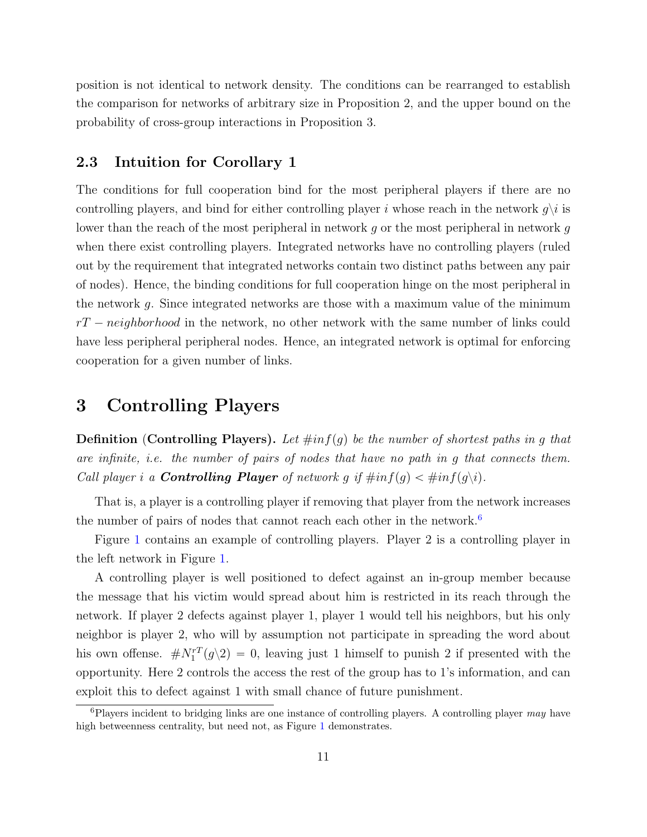position is not identical to network density. The conditions can be rearranged to establish the comparison for networks of arbitrary size in Proposition 2, and the upper bound on the probability of cross-group interactions in Proposition 3.

#### <span id="page-10-0"></span>2.3 Intuition for Corollary 1

The conditions for full cooperation bind for the most peripheral players if there are no controlling players, and bind for either controlling player i whose reach in the network  $g\backslash i$  is lower than the reach of the most peripheral in network g or the most peripheral in network g when there exist controlling players. Integrated networks have no controlling players (ruled out by the requirement that integrated networks contain two distinct paths between any pair of nodes). Hence, the binding conditions for full cooperation hinge on the most peripheral in the network g. Since integrated networks are those with a maximum value of the minimum  $rT - neighbourhood$  in the network, no other network with the same number of links could have less peripheral peripheral nodes. Hence, an integrated network is optimal for enforcing cooperation for a given number of links.

## <span id="page-10-1"></span>3 Controlling Players

**Definition** (Controlling Players). Let  $\#inf(g)$  be the number of shortest paths in g that are infinite, i.e. the number of pairs of nodes that have no path in g that connects them. Call player i a **Controlling Player** of network g if  $\#inf(g) < \#inf(g\backslash i)$ .

That is, a player is a controlling player if removing that player from the network increases the number of pairs of nodes that cannot reach each other in the network.<sup>[6](#page-10-2)</sup>

Figure [1](#page-11-2) contains an example of controlling players. Player 2 is a controlling player in the left network in Figure [1.](#page-11-2)

A controlling player is well positioned to defect against an in-group member because the message that his victim would spread about him is restricted in its reach through the network. If player 2 defects against player 1, player 1 would tell his neighbors, but his only neighbor is player 2, who will by assumption not participate in spreading the word about his own offense.  $\# N_1^{rT}(g\backslash 2) = 0$ , leaving just 1 himself to punish 2 if presented with the opportunity. Here 2 controls the access the rest of the group has to 1's information, and can exploit this to defect against 1 with small chance of future punishment.

<span id="page-10-2"></span> ${}^{6}$ Players incident to bridging links are one instance of controlling players. A controlling player may have high betweenness centrality, but need not, as Figure [1](#page-11-2) demonstrates.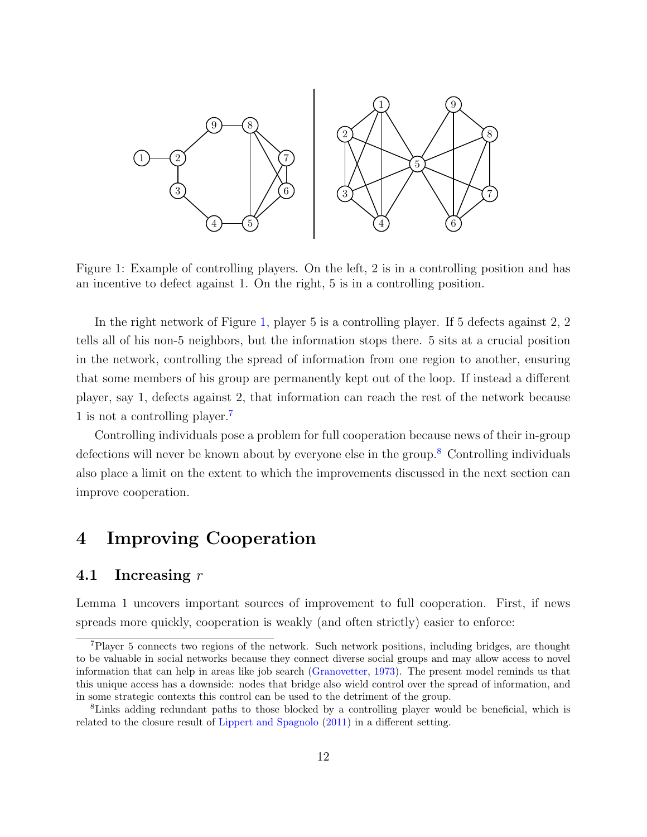<span id="page-11-2"></span>

Figure 1: Example of controlling players. On the left, 2 is in a controlling position and has an incentive to defect against 1. On the right, 5 is in a controlling position.

In the right network of Figure [1,](#page-11-2) player 5 is a controlling player. If 5 defects against 2, 2 tells all of his non-5 neighbors, but the information stops there. 5 sits at a crucial position in the network, controlling the spread of information from one region to another, ensuring that some members of his group are permanently kept out of the loop. If instead a different player, say 1, defects against 2, that information can reach the rest of the network because 1 is not a controlling player.[7](#page-11-3)

Controlling individuals pose a problem for full cooperation because news of their in-group defections will never be known about by everyone else in the group.<sup>[8](#page-11-4)</sup> Controlling individuals also place a limit on the extent to which the improvements discussed in the next section can improve cooperation.

## <span id="page-11-0"></span>4 Improving Cooperation

#### <span id="page-11-1"></span>4.1 Increasing  $r$

Lemma 1 uncovers important sources of improvement to full cooperation. First, if news spreads more quickly, cooperation is weakly (and often strictly) easier to enforce:

<span id="page-11-3"></span><sup>7</sup>Player 5 connects two regions of the network. Such network positions, including bridges, are thought to be valuable in social networks because they connect diverse social groups and may allow access to novel information that can help in areas like job search [\(Granovetter,](#page-25-1) [1973\)](#page-25-1). The present model reminds us that this unique access has a downside: nodes that bridge also wield control over the spread of information, and in some strategic contexts this control can be used to the detriment of the group.

<span id="page-11-4"></span><sup>&</sup>lt;sup>8</sup>Links adding redundant paths to those blocked by a controlling player would be beneficial, which is related to the closure result of [Lippert and Spagnolo](#page-25-2) [\(2011\)](#page-25-2) in a different setting.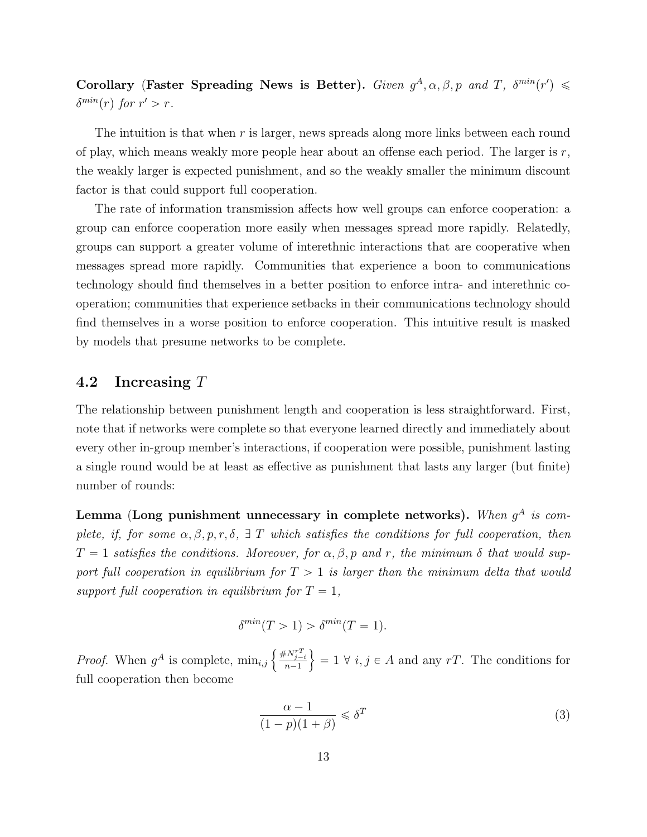Corollary (Faster Spreading News is Better). Given  $g^A, \alpha, \beta, p$  and T,  $\delta^{min}(r') \leq$  $\delta^{min}(r)$  for  $r' > r$ .

The intuition is that when  $r$  is larger, news spreads along more links between each round of play, which means weakly more people hear about an offense each period. The larger is  $r$ , the weakly larger is expected punishment, and so the weakly smaller the minimum discount factor is that could support full cooperation.

The rate of information transmission affects how well groups can enforce cooperation: a group can enforce cooperation more easily when messages spread more rapidly. Relatedly, groups can support a greater volume of interethnic interactions that are cooperative when messages spread more rapidly. Communities that experience a boon to communications technology should find themselves in a better position to enforce intra- and interethnic cooperation; communities that experience setbacks in their communications technology should find themselves in a worse position to enforce cooperation. This intuitive result is masked by models that presume networks to be complete.

#### <span id="page-12-0"></span>4.2 Increasing T

The relationship between punishment length and cooperation is less straightforward. First, note that if networks were complete so that everyone learned directly and immediately about every other in-group member's interactions, if cooperation were possible, punishment lasting a single round would be at least as effective as punishment that lasts any larger (but finite) number of rounds:

Lemma (Long punishment unnecessary in complete networks). When  $g^A$  is complete, if, for some  $\alpha, \beta, p, r, \delta$ ,  $\exists$  T which satisfies the conditions for full cooperation, then  $T = 1$  satisfies the conditions. Moreover, for  $\alpha, \beta, p$  and r, the minimum  $\delta$  that would support full cooperation in equilibrium for  $T > 1$  is larger than the minimum delta that would support full cooperation in equilibrium for  $T = 1$ ,

$$
\delta^{min}(T>1) > \delta^{min}(T=1).
$$

*Proof.* When  $g^A$  is complete,  $\min_{i,j} \left\{$  $\frac{\# N_{j-i}^{rT}}{n-1}$ )  $= 1 \forall i, j \in A$  and any rT. The conditions for full cooperation then become

$$
\frac{\alpha - 1}{(1 - p)(1 + \beta)} \leq \delta^T \tag{3}
$$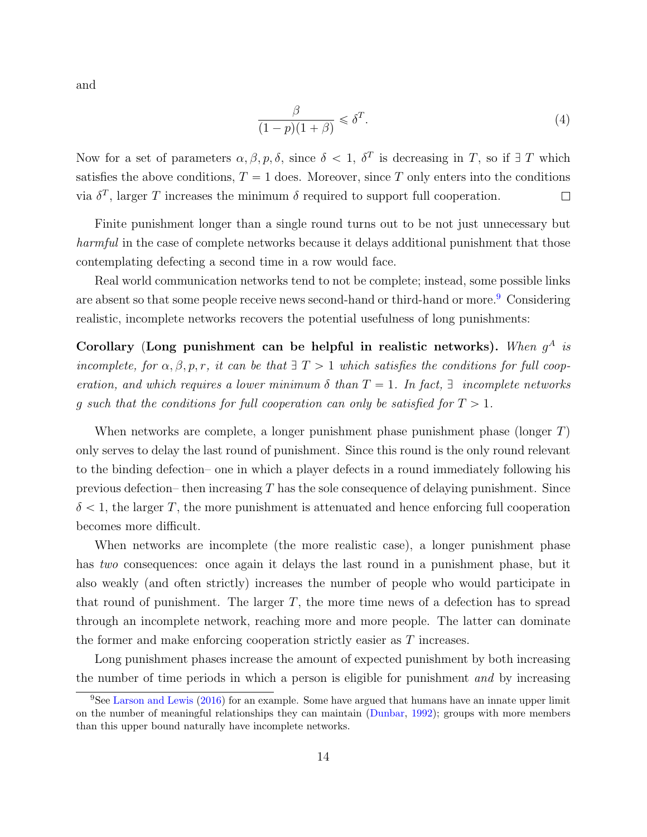and

$$
\frac{\beta}{(1-p)(1+\beta)} \leq \delta^T.
$$
\n(4)

Now for a set of parameters  $\alpha, \beta, p, \delta$ , since  $\delta < 1$ ,  $\delta^T$  is decreasing in T, so if  $\exists$  T which satisfies the above conditions,  $T = 1$  does. Moreover, since T only enters into the conditions via  $\delta^T$ , larger T increases the minimum  $\delta$  required to support full cooperation.  $\Box$ 

Finite punishment longer than a single round turns out to be not just unnecessary but harmful in the case of complete networks because it delays additional punishment that those contemplating defecting a second time in a row would face.

Real world communication networks tend to not be complete; instead, some possible links are absent so that some people receive news second-hand or third-hand or more.<sup>[9](#page-13-0)</sup> Considering realistic, incomplete networks recovers the potential usefulness of long punishments:

Corollary (Long punishment can be helpful in realistic networks). When  $g^A$  is incomplete, for  $\alpha, \beta, p, r$ , it can be that  $\exists T > 1$  which satisfies the conditions for full cooperation, and which requires a lower minimum  $\delta$  than  $T = 1$ . In fact,  $\exists$  incomplete networks q such that the conditions for full cooperation can only be satisfied for  $T > 1$ .

When networks are complete, a longer punishment phase punishment phase (longer  $T$ ) only serves to delay the last round of punishment. Since this round is the only round relevant to the binding defection– one in which a player defects in a round immediately following his previous defection– then increasing  $T$  has the sole consequence of delaying punishment. Since  $\delta$  < 1, the larger T, the more punishment is attenuated and hence enforcing full cooperation becomes more difficult.

When networks are incomplete (the more realistic case), a longer punishment phase has two consequences: once again it delays the last round in a punishment phase, but it also weakly (and often strictly) increases the number of people who would participate in that round of punishment. The larger  $T$ , the more time news of a defection has to spread through an incomplete network, reaching more and more people. The latter can dominate the former and make enforcing cooperation strictly easier as T increases.

Long punishment phases increase the amount of expected punishment by both increasing the number of time periods in which a person is eligible for punishment and by increasing

<span id="page-13-0"></span> ${}^{9}$ See [Larson and Lewis](#page-25-3) [\(2016\)](#page-25-3) for an example. Some have argued that humans have an innate upper limit on the number of meaningful relationships they can maintain [\(Dunbar,](#page-25-4) [1992\)](#page-25-4); groups with more members than this upper bound naturally have incomplete networks.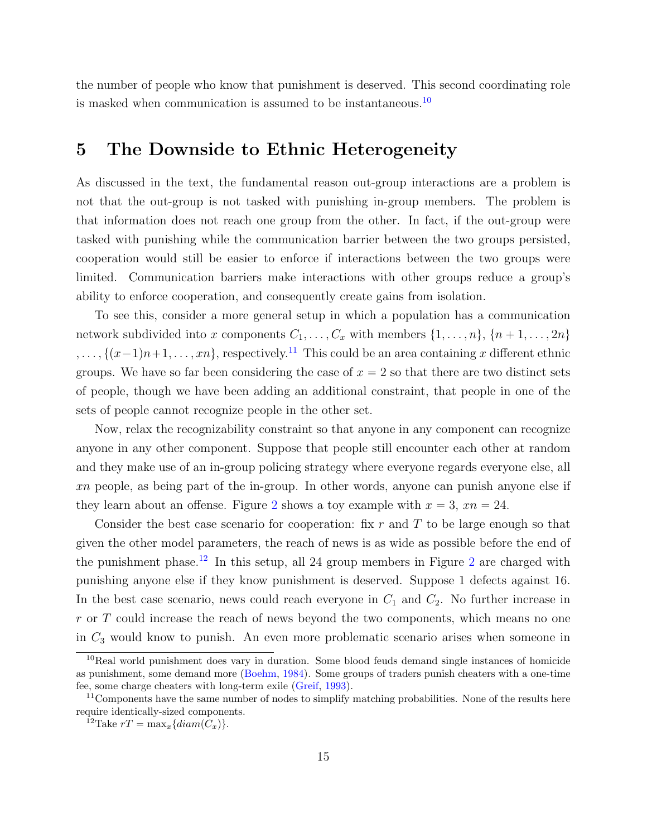the number of people who know that punishment is deserved. This second coordinating role is masked when communication is assumed to be instantaneous.[10](#page-14-1)

## <span id="page-14-0"></span>5 The Downside to Ethnic Heterogeneity

As discussed in the text, the fundamental reason out-group interactions are a problem is not that the out-group is not tasked with punishing in-group members. The problem is that information does not reach one group from the other. In fact, if the out-group were tasked with punishing while the communication barrier between the two groups persisted, cooperation would still be easier to enforce if interactions between the two groups were limited. Communication barriers make interactions with other groups reduce a group's ability to enforce cooperation, and consequently create gains from isolation.

To see this, consider a more general setup in which a population has a communication network subdivided into x components  $C_1, \ldots, C_x$  with members  $\{1, \ldots, n\}, \{n + 1, \ldots, 2n\}$  $, \ldots, \{(x-1)n+1, \ldots, xn\}$ , respectively.<sup>[11](#page-14-2)</sup> This could be an area containing x different ethnic groups. We have so far been considering the case of  $x = 2$  so that there are two distinct sets of people, though we have been adding an additional constraint, that people in one of the sets of people cannot recognize people in the other set.

Now, relax the recognizability constraint so that anyone in any component can recognize anyone in any other component. Suppose that people still encounter each other at random and they make use of an in-group policing strategy where everyone regards everyone else, all xn people, as being part of the in-group. In other words, anyone can punish anyone else if they learn about an offense. Figure [2](#page-15-0) shows a toy example with  $x = 3$ ,  $xn = 24$ .

Consider the best case scenario for cooperation: fix  $r$  and  $T$  to be large enough so that given the other model parameters, the reach of news is as wide as possible before the end of the punishment phase.<sup>[12](#page-14-3)</sup> In this setup, all [2](#page-15-0)4 group members in Figure 2 are charged with punishing anyone else if they know punishment is deserved. Suppose 1 defects against 16. In the best case scenario, news could reach everyone in  $C_1$  and  $C_2$ . No further increase in r or T could increase the reach of news beyond the two components, which means no one in  $C_3$  would know to punish. An even more problematic scenario arises when someone in

<span id="page-14-1"></span><sup>10</sup>Real world punishment does vary in duration. Some blood feuds demand single instances of homicide as punishment, some demand more [\(Boehm,](#page-25-5) [1984\)](#page-25-5). Some groups of traders punish cheaters with a one-time fee, some charge cheaters with long-term exile [\(Greif,](#page-25-6) [1993\)](#page-25-6).

<span id="page-14-2"></span> $11$ Components have the same number of nodes to simplify matching probabilities. None of the results here require identically-sized components.

<span id="page-14-3"></span><sup>&</sup>lt;sup>12</sup>Take  $rT = \max_x \{diam(C_x)\}.$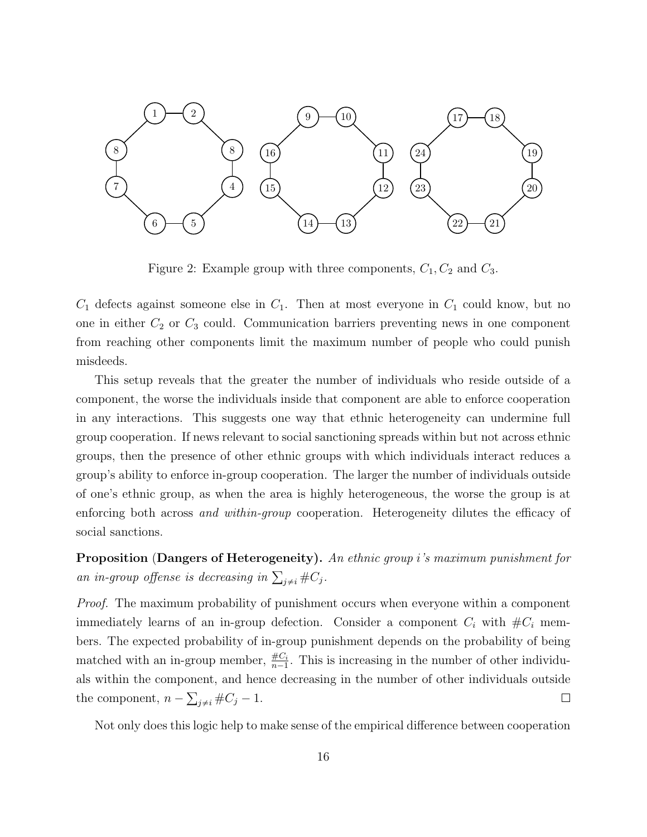<span id="page-15-0"></span>

Figure 2: Example group with three components,  $C_1$ ,  $C_2$  and  $C_3$ .

 $C_1$  defects against someone else in  $C_1$ . Then at most everyone in  $C_1$  could know, but no one in either  $C_2$  or  $C_3$  could. Communication barriers preventing news in one component from reaching other components limit the maximum number of people who could punish misdeeds.

This setup reveals that the greater the number of individuals who reside outside of a component, the worse the individuals inside that component are able to enforce cooperation in any interactions. This suggests one way that ethnic heterogeneity can undermine full group cooperation. If news relevant to social sanctioning spreads within but not across ethnic groups, then the presence of other ethnic groups with which individuals interact reduces a group's ability to enforce in-group cooperation. The larger the number of individuals outside of one's ethnic group, as when the area is highly heterogeneous, the worse the group is at enforcing both across *and within-group* cooperation. Heterogeneity dilutes the efficacy of social sanctions.

Proposition (Dangers of Heterogeneity). An ethnic group i's maximum punishment for an in-group offense is decreasing in  $\sum_{j\neq i} \#C_j$ .

Proof. The maximum probability of punishment occurs when everyone within a component immediately learns of an in-group defection. Consider a component  $C_i$  with  $\#C_i$  members. The expected probability of in-group punishment depends on the probability of being matched with an in-group member,  $\frac{\#C_i}{n-1}$ . This is increasing in the number of other individuals within the component, and hence decreasing in the number of other individuals outside ř the component,  $n - \sum_{j \neq i} \#C_j - 1$ .  $\Box$ 

Not only does this logic help to make sense of the empirical difference between cooperation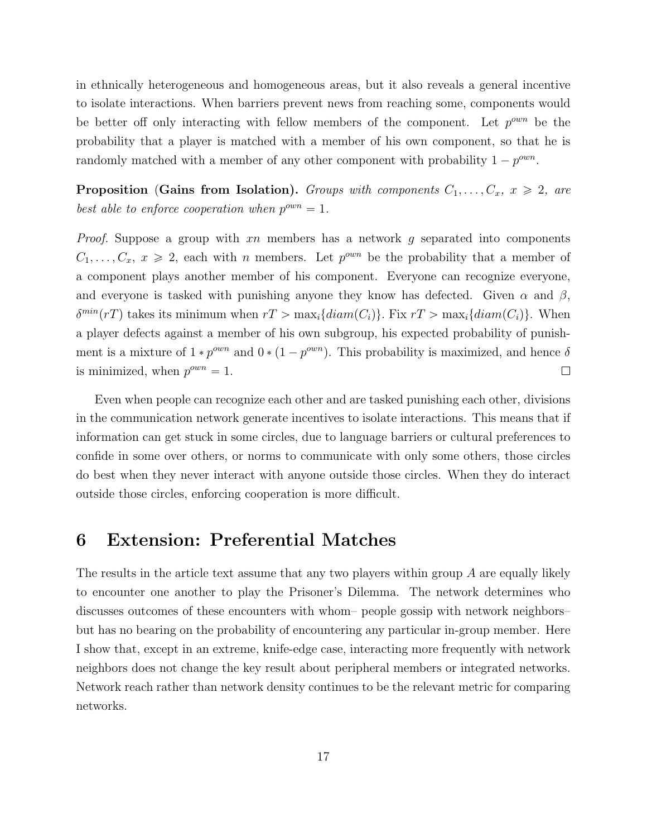in ethnically heterogeneous and homogeneous areas, but it also reveals a general incentive to isolate interactions. When barriers prevent news from reaching some, components would be better off only interacting with fellow members of the component. Let  $p^{\text{own}}$  be the probability that a player is matched with a member of his own component, so that he is randomly matched with a member of any other component with probability  $1 - p^{\text{own}}$ .

**Proposition (Gains from Isolation).** Groups with components  $C_1, \ldots, C_x, x \geq 2$ , are best able to enforce cooperation when  $p^{own} = 1$ .

*Proof.* Suppose a group with  $xn$  members has a network  $g$  separated into components  $C_1, \ldots, C_x, x \ge 2$ , each with *n* members. Let  $p^{\text{own}}$  be the probability that a member of a component plays another member of his component. Everyone can recognize everyone, and everyone is tasked with punishing anyone they know has defected. Given  $\alpha$  and  $\beta$ ,  $\delta^{min}(rT)$  takes its minimum when  $rT > \max_i\{diam(C_i)\}\$ . Fix  $rT > \max_i\{diam(C_i)\}\$ . When a player defects against a member of his own subgroup, his expected probability of punishment is a mixture of  $1 * p^{\text{own}}$  and  $0 * (1 - p^{\text{own}})$ . This probability is maximized, and hence  $\delta$ is minimized, when  $p^{own} = 1$ .  $\Box$ 

Even when people can recognize each other and are tasked punishing each other, divisions in the communication network generate incentives to isolate interactions. This means that if information can get stuck in some circles, due to language barriers or cultural preferences to confide in some over others, or norms to communicate with only some others, those circles do best when they never interact with anyone outside those circles. When they do interact outside those circles, enforcing cooperation is more difficult.

### <span id="page-16-0"></span>6 Extension: Preferential Matches

The results in the article text assume that any two players within group A are equally likely to encounter one another to play the Prisoner's Dilemma. The network determines who discusses outcomes of these encounters with whom– people gossip with network neighbors– but has no bearing on the probability of encountering any particular in-group member. Here I show that, except in an extreme, knife-edge case, interacting more frequently with network neighbors does not change the key result about peripheral members or integrated networks. Network reach rather than network density continues to be the relevant metric for comparing networks.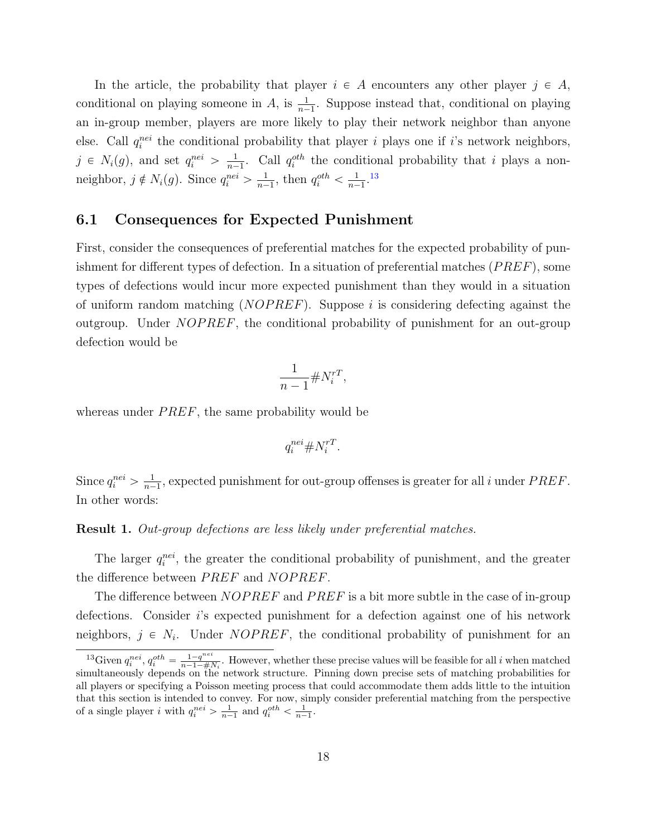In the article, the probability that player  $i \in A$  encounters any other player  $j \in A$ , conditional on playing someone in A, is  $\frac{1}{n-1}$ . Suppose instead that, conditional on playing an in-group member, players are more likely to play their network neighbor than anyone else. Call  $q_i^{nei}$  the conditional probability that player i plays one if i's network neighbors,  $j \in N_i(g)$ , and set  $q_i^{nei} > \frac{1}{n-1}$  $\frac{1}{n-1}$ . Call  $q_i^{oth}$  the conditional probability that i plays a nonneighbor,  $j \notin N_i(g)$ . Since  $q_i^{nei} > \frac{1}{n-1}$  $\frac{1}{n-1}$ , then  $q_i^{oth} < \frac{1}{n-1}$  $\frac{1}{n-1}$ .<sup>[13](#page-17-1)</sup>

#### <span id="page-17-0"></span>6.1 Consequences for Expected Punishment

First, consider the consequences of preferential matches for the expected probability of punishment for different types of defection. In a situation of preferential matches  $(PREF)$ , some types of defections would incur more expected punishment than they would in a situation of uniform random matching  $(NOPREF)$ . Suppose i is considering defecting against the outgroup. Under  $NOPREF$ , the conditional probability of punishment for an out-group defection would be

$$
\frac{1}{n-1} \# N_i^{rT},
$$

whereas under  $PREF$ , the same probability would be

$$
q_i^{nei} \# N_i^{rT}.
$$

Since  $q_i^{nei} > \frac{1}{n-1}$  $\frac{1}{n-1}$ , expected punishment for out-group offenses is greater for all i under  $PREF$ . In other words:

Result 1. Out-group defections are less likely under preferential matches.

The larger  $q_i^{nei}$ , the greater the conditional probability of punishment, and the greater the difference between *PREF* and *NOPREF*.

The difference between  $NOPREF$  and  $PREF$  is a bit more subtle in the case of in-group defections. Consider i's expected punishment for a defection against one of his network neighbors,  $j \in N_i$ . Under *NOPREF*, the conditional probability of punishment for an

<span id="page-17-1"></span><sup>&</sup>lt;sup>13</sup>Given  $q_i^{nei}$ ,  $q_i^{oth} = \frac{1-q^{nei}}{n-1-\#l}$  $\frac{1-q^{1}}{n-1-\#N_i}$ . However, whether these precise values will be feasible for all i when matched simultaneously depends on the network structure. Pinning down precise sets of matching probabilities for all players or specifying a Poisson meeting process that could accommodate them adds little to the intuition that this section is intended to convey. For now, simply consider preferential matching from the perspective of a single player *i* with  $q_i^{nei} > \frac{1}{n-1}$  and  $q_i^{oth} < \frac{1}{n-1}$ .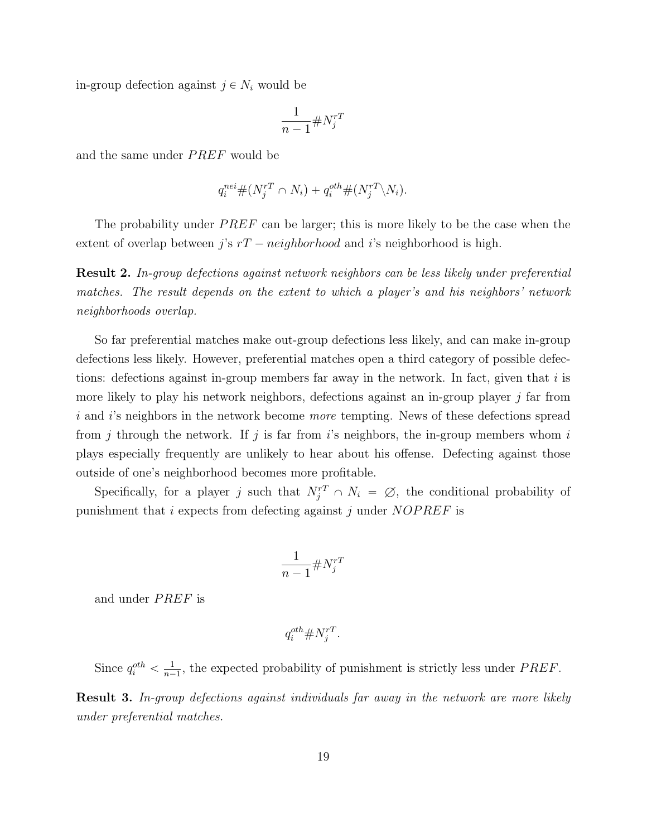in-group defection against  $j \in N_i$  would be

$$
\frac{1}{n-1} \# N_j^{rT}
$$

and the same under *PREF* would be

$$
q_i^{nei} \# (N_j^{rT} \cap N_i) + q_i^{oth} \# (N_j^{rT} \backslash N_i).
$$

The probability under  $PREF$  can be larger; this is more likely to be the case when the extent of overlap between j's  $rT - neighborhood$  and i's neighborhood is high.

Result 2. In-group defections against network neighbors can be less likely under preferential matches. The result depends on the extent to which a player's and his neighbors' network neighborhoods overlap.

So far preferential matches make out-group defections less likely, and can make in-group defections less likely. However, preferential matches open a third category of possible defections: defections against in-group members far away in the network. In fact, given that  $i$  is more likely to play his network neighbors, defections against an in-group player  $j$  far from i and i's neighbors in the network become *more* tempting. News of these defections spread from j through the network. If j is far from  $i$ 's neighbors, the in-group members whom  $i$ plays especially frequently are unlikely to hear about his offense. Defecting against those outside of one's neighborhood becomes more profitable.

Specifically, for a player j such that  $N_j^{rT} \cap N_i = \emptyset$ , the conditional probability of punishment that  $i$  expects from defecting against  $j$  under  $NOPREF$  is

$$
\frac{1}{n-1} \# N_j^{rT}
$$

and under *PREF* is

$$
q_i^{oth} \# N_j^{rT}.
$$

Since  $q_i^{oth} < \frac{1}{n-1}$  $\frac{1}{n-1}$ , the expected probability of punishment is strictly less under *PREF*.

Result 3. In-group defections against individuals far away in the network are more likely under preferential matches.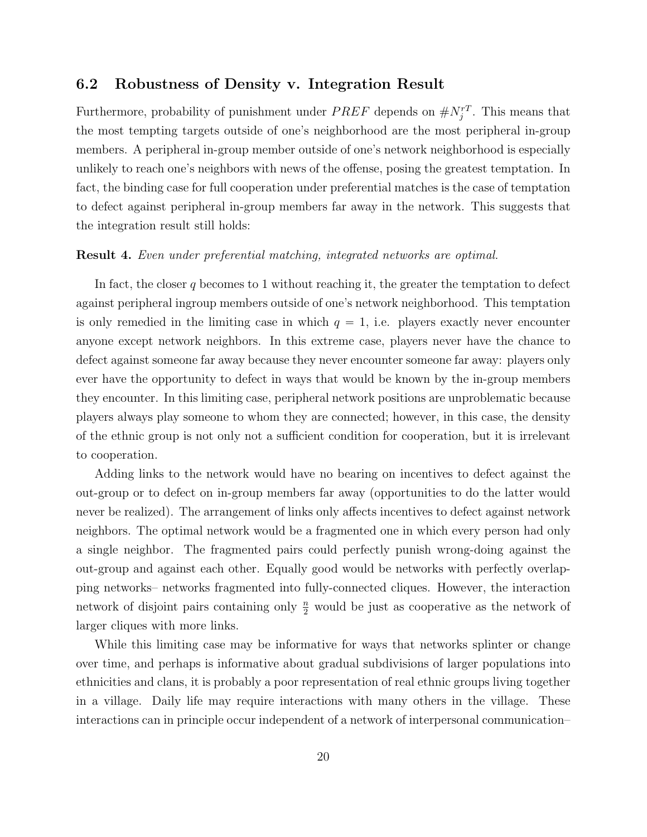#### <span id="page-19-0"></span>6.2 Robustness of Density v. Integration Result

Furthermore, probability of punishment under  $PREF$  depends on  $\#N_j^{rT}$ . This means that the most tempting targets outside of one's neighborhood are the most peripheral in-group members. A peripheral in-group member outside of one's network neighborhood is especially unlikely to reach one's neighbors with news of the offense, posing the greatest temptation. In fact, the binding case for full cooperation under preferential matches is the case of temptation to defect against peripheral in-group members far away in the network. This suggests that the integration result still holds:

#### Result 4. Even under preferential matching, integrated networks are optimal.

In fact, the closer  $q$  becomes to 1 without reaching it, the greater the temptation to defect against peripheral ingroup members outside of one's network neighborhood. This temptation is only remedied in the limiting case in which  $q = 1$ , i.e. players exactly never encounter anyone except network neighbors. In this extreme case, players never have the chance to defect against someone far away because they never encounter someone far away: players only ever have the opportunity to defect in ways that would be known by the in-group members they encounter. In this limiting case, peripheral network positions are unproblematic because players always play someone to whom they are connected; however, in this case, the density of the ethnic group is not only not a sufficient condition for cooperation, but it is irrelevant to cooperation.

Adding links to the network would have no bearing on incentives to defect against the out-group or to defect on in-group members far away (opportunities to do the latter would never be realized). The arrangement of links only affects incentives to defect against network neighbors. The optimal network would be a fragmented one in which every person had only a single neighbor. The fragmented pairs could perfectly punish wrong-doing against the out-group and against each other. Equally good would be networks with perfectly overlapping networks– networks fragmented into fully-connected cliques. However, the interaction network of disjoint pairs containing only  $\frac{n}{2}$  would be just as cooperative as the network of larger cliques with more links.

While this limiting case may be informative for ways that networks splinter or change over time, and perhaps is informative about gradual subdivisions of larger populations into ethnicities and clans, it is probably a poor representation of real ethnic groups living together in a village. Daily life may require interactions with many others in the village. These interactions can in principle occur independent of a network of interpersonal communication–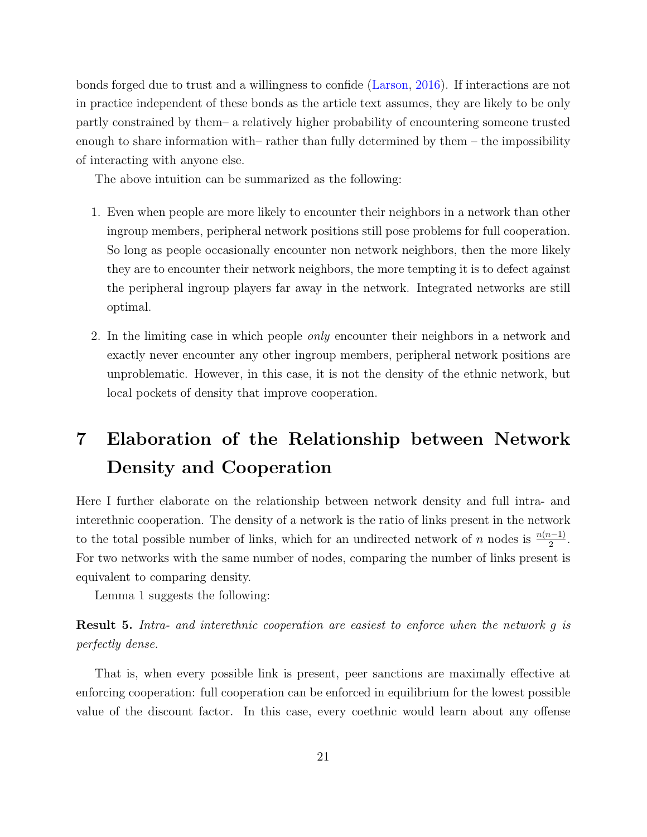bonds forged due to trust and a willingness to confide [\(Larson,](#page-25-7) [2016\)](#page-25-7). If interactions are not in practice independent of these bonds as the article text assumes, they are likely to be only partly constrained by them– a relatively higher probability of encountering someone trusted enough to share information with– rather than fully determined by them – the impossibility of interacting with anyone else.

The above intuition can be summarized as the following:

- 1. Even when people are more likely to encounter their neighbors in a network than other ingroup members, peripheral network positions still pose problems for full cooperation. So long as people occasionally encounter non network neighbors, then the more likely they are to encounter their network neighbors, the more tempting it is to defect against the peripheral ingroup players far away in the network. Integrated networks are still optimal.
- 2. In the limiting case in which people only encounter their neighbors in a network and exactly never encounter any other ingroup members, peripheral network positions are unproblematic. However, in this case, it is not the density of the ethnic network, but local pockets of density that improve cooperation.

## <span id="page-20-0"></span>7 Elaboration of the Relationship between Network Density and Cooperation

Here I further elaborate on the relationship between network density and full intra- and interethnic cooperation. The density of a network is the ratio of links present in the network to the total possible number of links, which for an undirected network of n nodes is  $\frac{n(n-1)}{2}$ . For two networks with the same number of nodes, comparing the number of links present is equivalent to comparing density.

Lemma 1 suggests the following:

Result 5. Intra- and interethnic cooperation are easiest to enforce when the network g is perfectly dense.

That is, when every possible link is present, peer sanctions are maximally effective at enforcing cooperation: full cooperation can be enforced in equilibrium for the lowest possible value of the discount factor. In this case, every coethnic would learn about any offense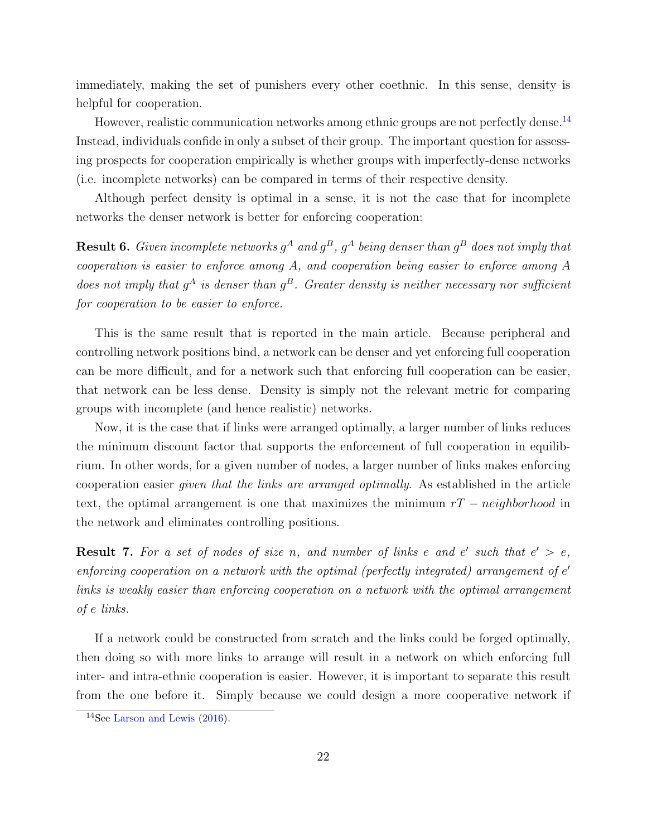immediately, making the set of punishers every other coethnic. In this sense, density is helpful for cooperation.

However, realistic communication networks among ethnic groups are not perfectly dense.<sup>[14](#page-21-0)</sup> Instead, individuals confide in only a subset of their group. The important question for assessing prospects for cooperation empirically is whether groups with imperfectly-dense networks (i.e. incomplete networks) can be compared in terms of their respective density.

Although perfect density is optimal in a sense, it is not the case that for incomplete networks the denser network is better for enforcing cooperation:

**Result 6.** Given incomplete networks  $g^A$  and  $g^B$ ,  $g^A$  being denser than  $g^B$  does not imply that cooperation is easier to enforce among A, and cooperation being easier to enforce among A does not imply that  $g^A$  is denser than  $g^B$ . Greater density is neither necessary nor sufficient for cooperation to be easier to enforce.

This is the same result that is reported in the main article. Because peripheral and controlling network positions bind, a network can be denser and yet enforcing full cooperation can be more difficult, and for a network such that enforcing full cooperation can be easier, that network can be less dense. Density is simply not the relevant metric for comparing groups with incomplete (and hence realistic) networks.

Now, it is the case that if links were arranged optimally, a larger number of links reduces the minimum discount factor that supports the enforcement of full cooperation in equilibrium. In other words, for a given number of nodes, a larger number of links makes enforcing cooperation easier given that the links are arranged optimally. As established in the article text, the optimal arrangement is one that maximizes the minimum  $rT - neighborhood$  in the network and eliminates controlling positions.

**Result 7.** For a set of nodes of size n, and number of links e and  $e'$  such that  $e' > e$ , enforcing cooperation on a network with the optimal (perfectly integrated) arrangement of  $e'$ links is weakly easier than enforcing cooperation on a network with the optimal arrangement of e links.

If a network could be constructed from scratch and the links could be forged optimally, then doing so with more links to arrange will result in a network on which enforcing full inter- and intra-ethnic cooperation is easier. However, it is important to separate this result from the one before it. Simply because we could design a more cooperative network if

<span id="page-21-0"></span><sup>14</sup>See [Larson and Lewis](#page-25-3) [\(2016\)](#page-25-3).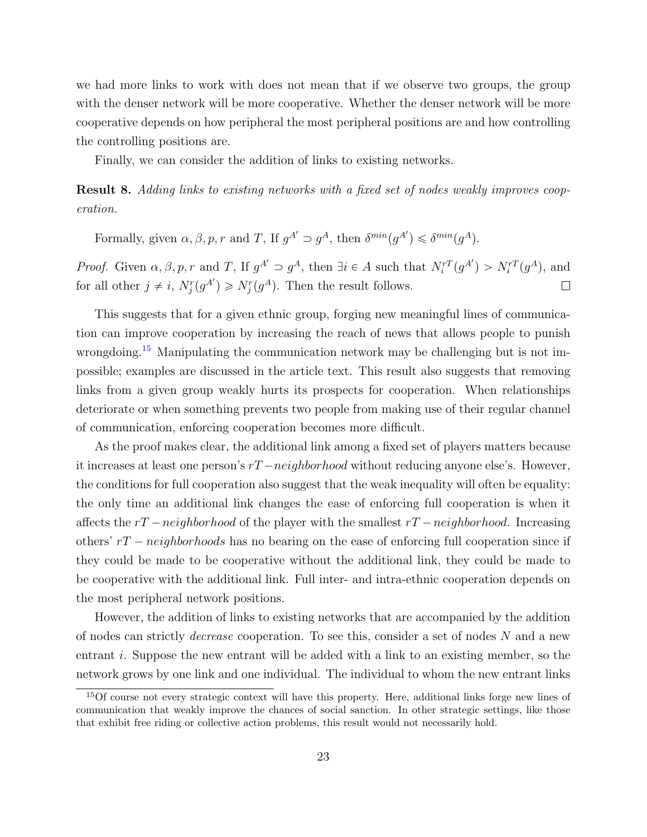we had more links to work with does not mean that if we observe two groups, the group with the denser network will be more cooperative. Whether the denser network will be more cooperative depends on how peripheral the most peripheral positions are and how controlling the controlling positions are.

Finally, we can consider the addition of links to existing networks.

Result 8. Adding links to existing networks with a fixed set of nodes weakly improves cooperation.

Formally, given  $\alpha, \beta, p, r$  and T, If  $g^{A'} \supset g^A$ , then  $\delta^{min}(g^{A'}) \leq \delta^{min}(g^A)$ .

*Proof.* Given  $\alpha, \beta, p, r$  and T, If  $g^{A'} \supset g^A$ , then  $\exists i \in A$  such that  $N_i^{rT}(g^{A'}) > N_i^{rT}(g^A)$ , and for all other  $j \neq i$ ,  $N_j^r(g^{A'}) \geq N_j^r(g^A)$ . Then the result follows.  $\Box$ 

This suggests that for a given ethnic group, forging new meaningful lines of communication can improve cooperation by increasing the reach of news that allows people to punish wrongdoing.<sup>[15](#page-22-0)</sup> Manipulating the communication network may be challenging but is not impossible; examples are discussed in the article text. This result also suggests that removing links from a given group weakly hurts its prospects for cooperation. When relationships deteriorate or when something prevents two people from making use of their regular channel of communication, enforcing cooperation becomes more difficult.

As the proof makes clear, the additional link among a fixed set of players matters because it increases at least one person's  $rT -neighbourhood$  without reducing anyone else's. However, the conditions for full cooperation also suggest that the weak inequality will often be equality: the only time an additional link changes the ease of enforcing full cooperation is when it affects the  $rT - neighborhood$  of the player with the smallest  $rT - neighborhood$ . Increasing others'  $rT - neighbourhoods$  has no bearing on the ease of enforcing full cooperation since if they could be made to be cooperative without the additional link, they could be made to be cooperative with the additional link. Full inter- and intra-ethnic cooperation depends on the most peripheral network positions.

However, the addition of links to existing networks that are accompanied by the addition of nodes can strictly decrease cooperation. To see this, consider a set of nodes N and a new entrant i. Suppose the new entrant will be added with a link to an existing member, so the network grows by one link and one individual. The individual to whom the new entrant links

<span id="page-22-0"></span><sup>15</sup>Of course not every strategic context will have this property. Here, additional links forge new lines of communication that weakly improve the chances of social sanction. In other strategic settings, like those that exhibit free riding or collective action problems, this result would not necessarily hold.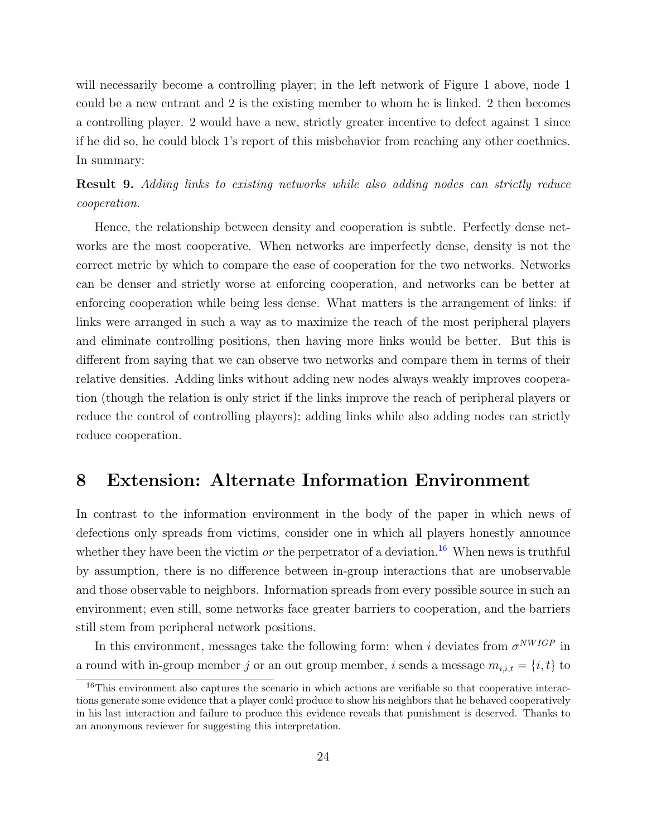will necessarily become a controlling player; in the left network of Figure 1 above, node 1 could be a new entrant and 2 is the existing member to whom he is linked. 2 then becomes a controlling player. 2 would have a new, strictly greater incentive to defect against 1 since if he did so, he could block 1's report of this misbehavior from reaching any other coethnics. In summary:

Result 9. Adding links to existing networks while also adding nodes can strictly reduce cooperation.

Hence, the relationship between density and cooperation is subtle. Perfectly dense networks are the most cooperative. When networks are imperfectly dense, density is not the correct metric by which to compare the ease of cooperation for the two networks. Networks can be denser and strictly worse at enforcing cooperation, and networks can be better at enforcing cooperation while being less dense. What matters is the arrangement of links: if links were arranged in such a way as to maximize the reach of the most peripheral players and eliminate controlling positions, then having more links would be better. But this is different from saying that we can observe two networks and compare them in terms of their relative densities. Adding links without adding new nodes always weakly improves cooperation (though the relation is only strict if the links improve the reach of peripheral players or reduce the control of controlling players); adding links while also adding nodes can strictly reduce cooperation.

### <span id="page-23-0"></span>8 Extension: Alternate Information Environment

In contrast to the information environment in the body of the paper in which news of defections only spreads from victims, consider one in which all players honestly announce whether they have been the victim or the perpetrator of a deviation.<sup>[16](#page-23-1)</sup> When news is truthful by assumption, there is no difference between in-group interactions that are unobservable and those observable to neighbors. Information spreads from every possible source in such an environment; even still, some networks face greater barriers to cooperation, and the barriers still stem from peripheral network positions.

In this environment, messages take the following form: when i deviates from  $\sigma^{NWIGP}$  in a round with in-group member j or an out group member, i sends a message  $m_{i,i,t} = \{i, t\}$  to

<span id="page-23-1"></span> $16$ This environment also captures the scenario in which actions are verifiable so that cooperative interactions generate some evidence that a player could produce to show his neighbors that he behaved cooperatively in his last interaction and failure to produce this evidence reveals that punishment is deserved. Thanks to an anonymous reviewer for suggesting this interpretation.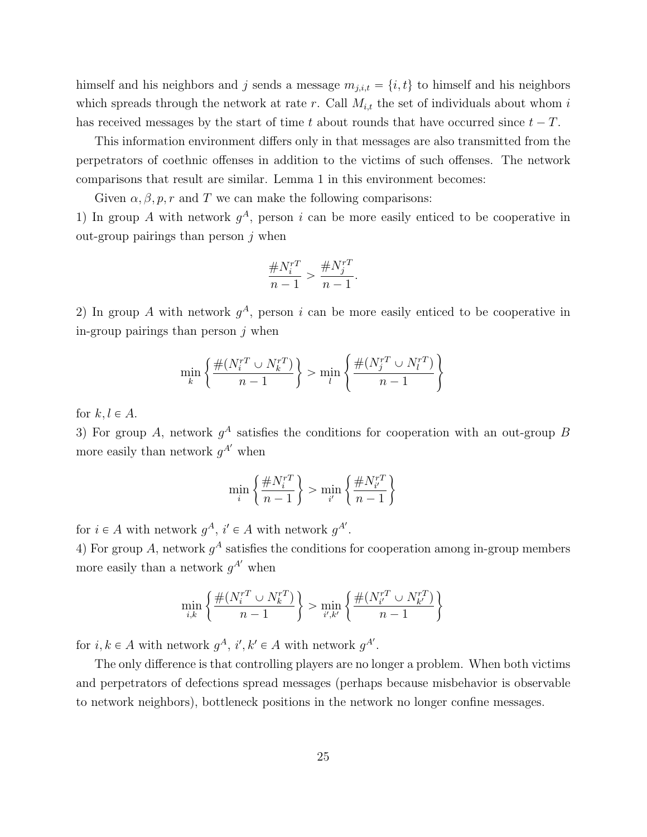himself and his neighbors and j sends a message  $m_{j,i,t} = \{i, t\}$  to himself and his neighbors which spreads through the network at rate r. Call  $M_{i,t}$  the set of individuals about whom i has received messages by the start of time t about rounds that have occurred since  $t - T$ .

This information environment differs only in that messages are also transmitted from the perpetrators of coethnic offenses in addition to the victims of such offenses. The network comparisons that result are similar. Lemma 1 in this environment becomes:

Given  $\alpha, \beta, p, r$  and T we can make the following comparisons:

1) In group A with network  $g<sup>A</sup>$ , person i can be more easily enticed to be cooperative in out-group pairings than person  $j$  when

$$
\frac{\#N_i^{rT}}{n-1} > \frac{\#N_j^{rT}}{n-1}.
$$

2) In group A with network  $g<sup>A</sup>$ , person i can be more easily enticed to be cooperative in in-group pairings than person  $j$  when

$$
\min_k \left\{ \frac{\#(N^{rT}_i \cup N^{rT}_k)}{n-1} \right\} > \min_l \left\{ \frac{\#(N^{rT}_j \cup N^{rT}_l)}{n-1} \right\}
$$

for  $k, l \in A$ .

3) For group A, network  $g^A$  satisfies the conditions for cooperation with an out-group B more easily than network  $g^{A'}$  when

$$
\min_{i} \left\{ \frac{\#N_i^{rT}}{n-1} \right\} > \min_{i'} \left\{ \frac{\#N_{i'}^{rT}}{n-1} \right\}
$$

for  $i \in A$  with network  $g^A$ ,  $i' \in A$  with network  $g^{A'}$ .

4) For group A, network  $g^A$  satisfies the conditions for cooperation among in-group members more easily than a network  $g^{A'}$  when

$$
\min_{i,k} \left\{\frac{\#(N_i^{rT} \cup N_k^{rT})}{n-1}\right\} > \min_{i',k'} \left\{\frac{\#(N_{i'}^{rT} \cup N_{k'}^{rT})}{n-1}\right\}
$$

for  $i, k \in A$  with network  $g^A$ ,  $i', k' \in A$  with network  $g^{A'}$ .

The only difference is that controlling players are no longer a problem. When both victims and perpetrators of defections spread messages (perhaps because misbehavior is observable to network neighbors), bottleneck positions in the network no longer confine messages.